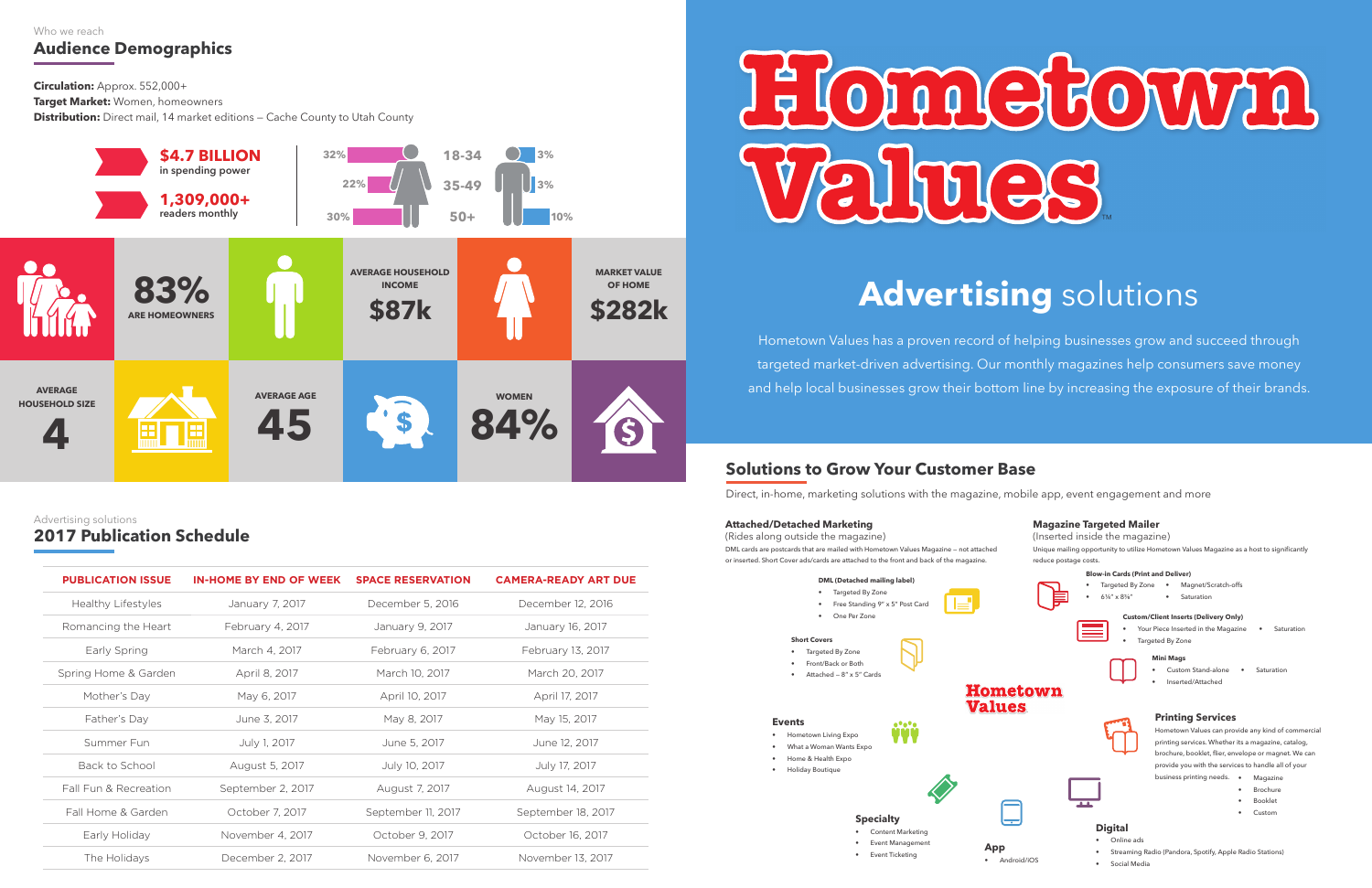# **E COMPLE ROMMA** TM

### **Audience Demographics** Who we reach

**Circulation:** Approx. 552,000+

**Target Market:** Women, homeowners

**Distribution:** Direct mail, 14 market editions — Cache County to Utah County



### **Solutions to Grow Your Customer Base**

- Content Marketing • Event Management
- Event Ticketing

Direct, in-home, marketing solutions with the magazine, mobile app, event engagement and more



### **Attached/Detached Marketing**

(Rides along outside the magazine) DML cards are postcards that are mailed with Hometown Values Magazine — not attached or inserted. Short Cover ads/cards are attached to the front and back of the magazine.



### **2017 Publication Schedule** Advertising solutions

## **Advertising** solutions

Hometown Values has a proven record of helping businesses grow and succeed through targeted market-driven advertising. Our monthly magazines help consumers save money and help local businesses grow their bottom line by increasing the exposure of their brands.

| <b>PUBLICATION ISSUE</b>  | <b>IN-HOME BY END OF WEEK</b> | <b>SPACE RESERVATION</b>              | <b>CAMERA-READY ART DUE</b> |
|---------------------------|-------------------------------|---------------------------------------|-----------------------------|
| <b>Healthy Lifestyles</b> | January 7, 2017               | December 5, 2016                      | December 12, 2016           |
| Romancing the Heart       | February 4, 2017              | January 9, 2017                       | January 16, 2017            |
| Early Spring              | March 4, 2017                 | February 6, 2017                      | February 13, 2017           |
| Spring Home & Garden      | April 8, 2017                 | March 10, 2017                        | March 20, 2017              |
| Mother's Day              | May 6, 2017                   | April 10, 2017                        | April 17, 2017              |
| Father's Day              | June 3, 2017                  | May 8, 2017                           | May 15, 2017                |
| Summer Fun                | July 1, 2017                  | June 5, 2017                          | June 12, 2017               |
| Back to School            | August 5, 2017                | July 10, 2017                         | July 17, 2017               |
| Fall Fun & Recreation     | September 2, 2017             | August 7, 2017                        | August 14, 2017             |
| Fall Home & Garden        | October 7, 2017               | September 11, 2017                    | September 18, 2017          |
| Early Holiday             | November 4, 2017              | October 9, 2017                       | October 16, 2017            |
| The Holidays              | December 2, 2017              | November 6, 2017<br>November 13, 2017 |                             |
|                           |                               |                                       |                             |